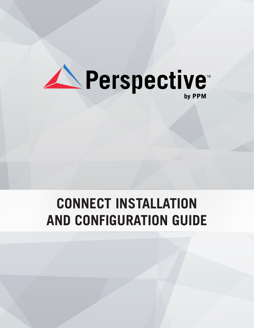

# **CONNECT INSTALLATION AND CONFIGURATION GUIDE**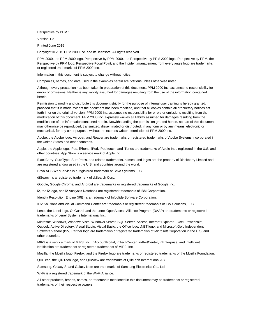Perspective by PPM<sup>™</sup>

Version 1.2

Printed June 2015

Copyright © 2015 PPM 2000 Inc. and its licensors. All rights reserved.

PPM 2000, the PPM 2000 logo, Perspective by PPM 2000, the Perspective by PPM 2000 logo, Perspective by PPM, the Perspective by PPM logo, Perspective Focal Point, and the Incident management from every angle logo are trademarks or registered trademarks of PPM 2000 Inc.

Information in this document is subject to change without notice.

Companies, names, and data used in the examples herein are fictitious unless otherwise noted.

Although every precaution has been taken in preparation of this document, PPM 2000 Inc. assumes no responsibility for errors or omissions. Neither is any liability assumed for damages resulting from the use of the information contained herein. I

Permission to modify and distribute this document strictly for the purpose of internal user training is hereby granted, provided that it is made evident the document has been modified, and that all copies contain all proprietary notices set forth in or on the original version. PPM 2000 Inc. assumes no responsibility for errors or omissions resulting from the modification of this document. PPM 2000 Inc. expressly waives all liability assumed for damages resulting from the modification of the information contained herein. Notwithstanding the permission granted herein, no part of this document may otherwise be reproduced, transmitted, disseminated or distributed, in any form or by any means, electronic or mechanical, for any other purpose, without the express written permission of PPM 2000 Inc.

Adobe, the Adobe logo, Acrobat, and Reader are trademarks or registered trademarks of Adobe Systems Incorporated in the United States and other countries.

Apple, the Apple logo, iPad, iPhone, iPod, iPod touch, and iTunes are trademarks of Apple Inc., registered in the U.S. and other countries. App Store is a service mark of Apple Inc.

BlackBerry, SureType, SurePress, and related trademarks, names, and logos are the property of Blackberry Limited and are registered and/or used in the U.S. and countries around the world.

Brivo ACS WebService is a registered trademark of Brivo Systems LLC.

dtSearch is a registered trademark of dtSearch Corp.

Google, Google Chrome, and Android are trademarks or registered trademarks of Google Inc.

i2, the i2 logo, and i2 Analyst's Notebook are registered trademarks of IBM Corporation.

Identity Resolution Engine (IRE) is a trademark of Infoglide Software Corporation.

IDV Solutions and Visual Command Center are trademarks or registered trademarks of IDV Solutions, LLC.

Lenel, the Lenel logo, OnGuard, and the Lenel OpenAccess Alliance Program (OAAP) are trademarks or registered trademarks of Lenel Systems International Inc.

Microsoft, Windows, Windows Vista, Windows Server, SQL Server, Access, Internet Explorer, Excel, PowerPoint, Outlook, Active Directory, Visual Studio, Visual Basic, the Office logo, .NET logo, and Microsoft Gold Independent Software Vendor (ISV) Partner logo are trademarks or registered trademarks of Microsoft Corporation in the U.S. and other countries.

MIR3 is a service mark of MIR3, Inc. inAccountPortal, inTechCenter, inAlertCenter, inEnterprise, and Intelligent Notification are trademarks or registered trademarks of MIR3, Inc.

Mozilla, the Mozilla logo, Firefox, and the Firefox logo are trademarks or registered trademarks of the Mozilla Foundation.

QlikTech, the QlikTech logo, and QlikView are trademarks of QlikTech International AB.

Samsung, Galaxy S, and Galaxy Note are trademarks of Samsung Electronics Co., Ltd.

Wi-Fi is a registered trademark of the Wi-Fi Alliance.

All other products, brands, names, or trademarks mentioned in this document may be trademarks or registered trademarks of their respective owners.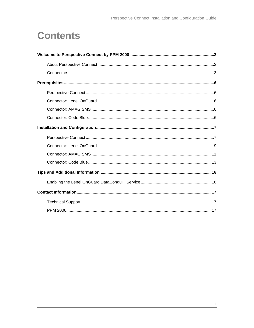# **Contents**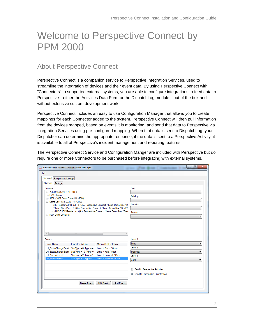# <span id="page-4-0"></span>Welcome to Perspective Connect by PPM 2000

## <span id="page-4-1"></span>About Perspective Connect

Perspective Connect is a companion service to Perspective Integration Services, used to streamline the integration of devices and their event data. By using Perspective Connect with "Connectors" to supported external systems, you are able to configure integrations to feed data to Perspective—either the Activities Data Form or the DispatchLog module—out of the box and without extensive custom development work.

Perspective Connect includes an easy to use Configuration Manager that allows you to create mappings for each Connector added to the system. Perspective Connect will then pull information from the devices mapped, based on events it is monitoring, and send that data to Perspective via Integration Services using pre-configured mapping. When that data is sent to DispatchLog, your Dispatcher can determine the appropriate response; if the data is sent to a Perspective Activity, it is available to all of Perspective's incident management and reporting features.

The Perspective Connect Service and Configuration Manger are included with Perspective but do require one or more Connectors to be purchased before integrating with external systems.

| △ Perspective Connect Configuration Manager       |                                                                                              |                                                                                                                                                        | $\mathbf{x}$<br>$\Box$              |  |  |
|---------------------------------------------------|----------------------------------------------------------------------------------------------|--------------------------------------------------------------------------------------------------------------------------------------------------------|-------------------------------------|--|--|
| <b>File</b>                                       |                                                                                              |                                                                                                                                                        |                                     |  |  |
| OnGuard Perspective Settings                      |                                                                                              |                                                                                                                                                        |                                     |  |  |
| Mapping<br>Settings                               |                                                                                              |                                                                                                                                                        |                                     |  |  |
| Devices                                           |                                                                                              |                                                                                                                                                        | Site                                |  |  |
| Fi-Y2K Demo Case (LNL-1000)                       |                                                                                              |                                                                                                                                                        |                                     |  |  |
| - LNVR Demo<br>由 2005 - 2007 Demo Case (LNL-2000) |                                                                                              |                                                                                                                                                        | Building                            |  |  |
| mi- Demo Case LNL-2220 - PPM2000                  |                                                                                              |                                                                                                                                                        |                                     |  |  |
|                                                   |                                                                                              | - 3-IE Reader w/PINPad -> QA / Perspective Connect / Lenel Demo Box / D<br>--- 2-Lenel OpenProx --> QA / Perspective Connect / Lenel Demo Box / Dev2 ( | Location                            |  |  |
|                                                   |                                                                                              | 1-HID OSDP Reader -> QA / Perspective Connect / Lenel Demo Box / Dev                                                                                   | Section                             |  |  |
| in NGP Demo 2010TU1                               |                                                                                              |                                                                                                                                                        |                                     |  |  |
| $\leftarrow$<br>m.                                |                                                                                              |                                                                                                                                                        |                                     |  |  |
| <b>Events</b>                                     |                                                                                              |                                                                                                                                                        | Level 1                             |  |  |
| <b>Event Name</b>                                 | <b>Expected Values</b>                                                                       | Mapped Call Category                                                                                                                                   | Lenel                               |  |  |
| <b>Lnl</b> StatusChangeEvent                      | $SubType = 8$ , Type = 4                                                                     | Lenel / Force / Open                                                                                                                                   | Level 2                             |  |  |
| <b>Lnl</b> AccessEvent                            | Lnl StatusChangeEvent SubType = 10, Type = 4 Lenel / Held / Open<br>$SubType = 2$ , Type = 1 | Lenel / Incorrect / Code                                                                                                                               | Incorrect<br>▼<br>Level 3           |  |  |
| <b>Lnl_AccessEvent</b>                            | SubType = $3$ , Type = $1$                                                                   | Lenel / Incorrect / Card                                                                                                                               | Card                                |  |  |
|                                                   |                                                                                              |                                                                                                                                                        |                                     |  |  |
|                                                   |                                                                                              |                                                                                                                                                        | Send to Perspective Activities<br>⊙ |  |  |
|                                                   |                                                                                              |                                                                                                                                                        | Send to Perspective DispatchLog     |  |  |
|                                                   |                                                                                              |                                                                                                                                                        |                                     |  |  |
| Edit Event<br>Add Event<br>Delete Event           |                                                                                              |                                                                                                                                                        |                                     |  |  |
|                                                   |                                                                                              |                                                                                                                                                        |                                     |  |  |
|                                                   |                                                                                              |                                                                                                                                                        |                                     |  |  |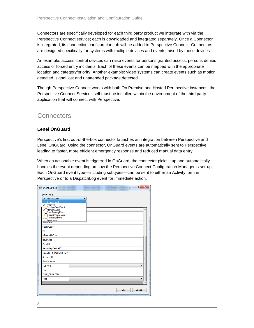Connectors are specifically developed for each third party product we integrate with via the Perspective Connect service; each is downloaded and integrated separately. Once a Connector is integrated, its connection configuration tab will be added to Perspective Connect. Connectors are designed specifically for systems with multiple devices and events raised by those devices.

An example: access control devices can raise events for persons granted access, persons denied access or forced entry incidents. Each of these events can be mapped with the appropriate location and category/priority. Another example: video systems can create events such as motion detected, signal lost and unattended package detected.

Though Perspective Connect works with both On Premise and Hosted Perspective instances, the Perspective Connect Service itself must be installed within the environment of the third party application that will connect with Perspective.

### <span id="page-5-0"></span>**Connectors**

#### **Lenel OnGuard**

Perspective's first out-of-the-box connector launches an integration between Perspective and Lenel OnGuard. Using the connector, OnGuard events are automatically sent to Perspective, leading to faster, more efficient emergency response and reduced manual data entry.

When an actionable event is triggered in OnGuard, the connector picks it up and automatically handles the event depending on how the Perspective Connect Configuration Manager is set-up. Each OnGuard event type—including subtypes—can be sent to either an Activity form in Perspective or to a DispatchLog event for immediate action.

| <b>DE</b> Event Details                                                                                                                                                                                              |  | $\overline{\phantom{0}}$ | $\Box$ | $\mathbf{x}$ |  |
|----------------------------------------------------------------------------------------------------------------------------------------------------------------------------------------------------------------------|--|--------------------------|--------|--------------|--|
| Event Type                                                                                                                                                                                                           |  |                          |        |              |  |
| <b>Lnl</b> AccessEvent                                                                                                                                                                                               |  |                          |        |              |  |
| <b>Lnl</b> AccessEvent<br><b>Lnl</b> FireEvent<br><b>Lnl</b> Function Exec Event<br><b>Lnl</b> IntercomEvent<br><b>Lnl</b> OtherSecurityEvent<br>Lnl_StatusChangeEvent<br><b>Lnl</b> Video Event<br><b>FventText</b> |  |                          |        | ▲            |  |
| FacilityCode                                                                                                                                                                                                         |  |                          |        |              |  |
| ID                                                                                                                                                                                                                   |  |                          |        |              |  |
| <b>IsReadableCard</b>                                                                                                                                                                                                |  |                          |        |              |  |
| <b>IssueCode</b>                                                                                                                                                                                                     |  |                          |        |              |  |
| PanelID                                                                                                                                                                                                              |  |                          |        |              |  |
| SecondaryDeviceID                                                                                                                                                                                                    |  |                          |        |              |  |
| SECURITY_DESCRIPTOR                                                                                                                                                                                                  |  |                          |        |              |  |
| SegmentID                                                                                                                                                                                                            |  |                          |        | Ε            |  |
| SerialNumber                                                                                                                                                                                                         |  |                          |        |              |  |
| <b>SubType</b>                                                                                                                                                                                                       |  |                          | ▼      |              |  |
| Time                                                                                                                                                                                                                 |  |                          |        |              |  |
| <b>TIME CREATED</b>                                                                                                                                                                                                  |  |                          |        |              |  |
| Type                                                                                                                                                                                                                 |  |                          | ▼      |              |  |
|                                                                                                                                                                                                                      |  |                          |        |              |  |
|                                                                                                                                                                                                                      |  | OK                       | Cancel |              |  |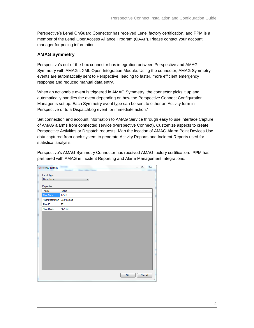Perspective's Lenel OnGuard Connector has received Lenel factory certification, and PPM is a member of the Lenel OpenAccess Alliance Program (OAAP). Please contact your account manager for pricing information.

#### **AMAG Symmetry**

Perspective's out-of-the-box connector has integration between Perspective and AMAG Symmetry with AMAG's XML Open Integration Module. Using the connector, AMAG Symmetry events are automatically sent to Perspective, leading to faster, more efficient emergency response and reduced manual data entry.

When an actionable event is triggered in AMAG Symmetry, the connector picks it up and automatically handles the event depending on how the Perspective Connect Configuration Manager is set up. Each Symmetry event type can be sent to either an Activity form in Perspective or to a DispatchLog event for immediate action.'

Set connection and account information to AMAG Service through easy to use interface Capture of AMAG alarms from connected service (Perspective Connect). Customize aspects to create Perspective Activities or Dispatch requests. Map the location of AMAG Alarm Point Devices.Use data captured from each system to generate Activity Reports and Incident Reports used for statistical analysis.

Perspective's AMAG Symmetry Connector has received AMAG factory certification. PPM has partnered with AMAG in Incident Reporting and Alarm Management Integrations.

| $\triangle$ Event Details     |              | $\qquad \qquad \blacksquare$ | $\Box$ | $\Sigma$               |
|-------------------------------|--------------|------------------------------|--------|------------------------|
| Event Type                    |              |                              |        |                        |
| Door Forced                   | ▼            |                              |        |                        |
|                               |              |                              |        |                        |
| Properties<br>Name            | Value        |                              |        |                        |
| AlamCode                      | 17510        |                              |        |                        |
| AlamDescription   Door Forced |              |                              |        |                        |
| AlamID                        | 77           |                              |        |                        |
| <b>AlamMode</b>               | <b>ALARM</b> |                              |        |                        |
|                               |              |                              |        |                        |
|                               |              |                              |        |                        |
|                               |              |                              |        |                        |
|                               |              |                              |        |                        |
|                               |              |                              |        |                        |
|                               |              |                              |        |                        |
|                               |              |                              |        |                        |
|                               |              |                              |        |                        |
|                               |              |                              |        |                        |
|                               |              |                              |        |                        |
|                               |              |                              |        |                        |
|                               |              |                              |        |                        |
|                               | OK           |                              | Cancel | $\mathcal{A}^{\sharp}$ |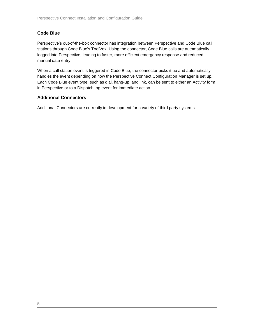#### **Code Blue**

Perspective's out-of-the-box connector has integration between Perspective and Code Blue call stations through Code Blue's ToolVox. Using the connector, Code Blue calls are automatically logged into Perspective, leading to faster, more efficient emergency response and reduced manual data entry.

When a call station event is triggered in Code Blue, the connector picks it up and automatically handles the event depending on how the Perspective Connect Configuration Manager is set up. Each Code Blue event type, such as dial, hang-up, and link, can be sent to either an Activity form in Perspective or to a DispatchLog event for immediate action.

#### **Additional Connectors**

Additional Connectors are currently in development for a variety of third party systems.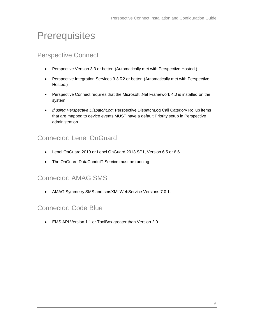# <span id="page-8-0"></span>**Prerequisites**

### <span id="page-8-1"></span>Perspective Connect

- Perspective Version 3.3 or better. (Automatically met with Perspective Hosted.)
- Perspective Integration Services 3.3 R2 or better. (Automatically met with Perspective Hosted.)
- **•** Perspective Connect requires that the Microsoft .Net Framework 4.0 is installed on the system.
- *If using Perspective DispatchLog*: Perspective DispatchLog Call Category Rollup items that are mapped to device events MUST have a default Priority setup in Perspective administration.

# <span id="page-8-2"></span>Connector: Lenel OnGuard

- Lenel OnGuard 2010 or Lenel OnGuard 2013 SP1, Version 6.5 or 6.6.
- The OnGuard DataCondulT Service must be running.

### <span id="page-8-3"></span>Connector: AMAG SMS

AMAG Symmetry SMS and smsXMLWebService Versions 7.0.1.

#### <span id="page-8-4"></span>Connector: Code Blue

EMS API Version 1.1 or ToolBox greater than Version 2.0.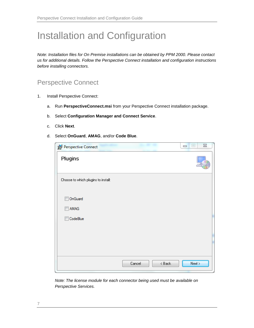# <span id="page-9-0"></span>Installation and Configuration

*Note: Installation files for On Premise installations can be obtained by PPM 2000. Please contact us for additional details. Follow the Perspective Connect installation and configuration instructions before installing connectors.*

### <span id="page-9-1"></span>Perspective Connect

- 1. Install Perspective Connect:
	- a. Run **PerspectiveConnect.msi** from your Perspective Connect installation package.
	- b. Select **Configuration Manager and Connect Service**.
	- c. Click **Next**.
	- d. Select **OnGuard**, **AMAG**, and/or **Code Blue**.

| Perspective Connect                 |                    | $\Sigma\!3$<br>$\boxed{\square}$<br>$\equiv$ |
|-------------------------------------|--------------------|----------------------------------------------|
| Plugins                             |                    |                                              |
| Choose to which plugins to install: |                    |                                              |
|                                     |                    |                                              |
| OnGuard                             |                    |                                              |
| AMAG                                |                    |                                              |
| CodeBlue                            |                    |                                              |
|                                     |                    |                                              |
|                                     |                    |                                              |
|                                     |                    |                                              |
|                                     |                    |                                              |
|                                     | $8$ Back<br>Cancel | Next                                         |

*Note: The license module for each connector being used must be available on Perspective Services.*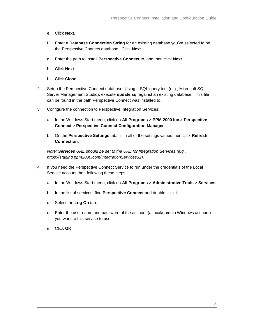- e. Click **Next**.
- f. Enter a **Database Connection String** for an existing database you've selected to be the Perspective Connect database. Click **Next**.
- g. Enter the path to install **Perspective Connect** to, and then click **Next**.
- h. Click **Next**.
- i. Click **Close**.
- 2. Setup the Perspective Connect database. Using a SQL query tool (e.g., Microsoft SQL Server Management Studio), execute **update.sql** against an existing database. This file can be found in the path Perspective Connect was installed to.
- 3. Configure the connection to Perspective Integration Services:
	- a. In the Windows Start menu, click on **All Programs** > **PPM 2000 Inc** > **Perspective Connect** > **Perspective Connect Configuration Manager**.
	- b. On the **Perspective Settings** tab, fill in all of the settings values then click **Refresh Connection**.

*Note: Services URL should be set to the URL for Integration Services (e.g., https://staging.ppm2000.com/IntegrationServices32).*

- 4. If you need the Perspective Connect Service to run under the credentials of the Local Service account then following these steps:
	- a. In the Windows Start menu, click on **All Programs** > **Administrative Tools** > **Services**.
	- b. In the list of services, find **Perspective Connect** and double click it.
	- c. Select the **Log On** tab.
	- d. Enter the user name and password of the account (a local/domain Windows account) you want to this service to use.
	- e. Click **OK**.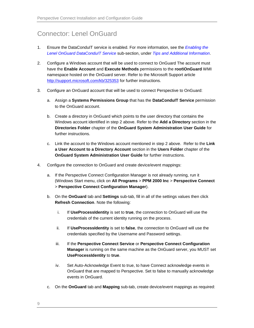# <span id="page-11-0"></span>Connector: Lenel OnGuard

- 1. Ensure the DataConduIT service is enabled. For more information, see the *[Enabling the](#page-18-1)  [Lenel OnGuard DataConduIT](#page-18-1) Service* sub-section, under *[Tips and Additional Information](#page-18-0)*.
- 2. Configure a Windows account that will be used to connect to OnGuard The account must have the **Enable Account** and **Execute Methods** permissions to the **root\OnGuard** WMI namespace hosted on the OnGuard server. Refer to the Microsoft Support article <http://support.microsoft.com/kb/325353> for further instructions.
- 3. Configure an OnGuard account that will be used to connect Perspective to OnGuard:
	- a. Assign a **Systems Permissions Group** that has the **DataConduIT Service** permission to the OnGuard account.
	- b. Create a directory in OnGuard which points to the user directory that contains the Windows account identified in step 2 above. Refer to the **Add a Directory** section in the **Directories Folder** chapter of the **OnGuard System Administration User Guide** for further instructions.
	- c. Link the account to the Windows account mentioned in step 2 above. Refer to the **Link a User Account to a Directory Account** section in the **Users Folder** chapter of the **OnGuard System Administration User Guide** for further instructions.
- 4. Configure the connection to OnGuard and create device/event mappings:
	- a. If the Perspective Connect Configuration Manager is not already running, run it (Windows Start menu, click on **All Programs** > **PPM 2000 Inc** > **Perspective Connect** > **Perspective Connect Configuration Manager**).
	- b. On the **OnGuard** tab and **Settings** sub-tab, fill in all of the settings values then click **Refresh Connection**. Note the following:
		- i. If **UseProcessIdentity** is set to **true**, the connection to OnGuard will use the credentials of the current identity running on the process.
		- ii. If **UseProcessIdentity** is set to **false**, the connection to OnGuard will use the credentials specified by the Username and Password settings.
		- iii. If the **Perspective Connect Service** or **Perspective Connect Configuration Manager** is running on the same machine as the OnGuard server, you MUST set **UseProcessIdentity** to **true**.
		- iv. Set Auto-Acknowledge Event to true, to have Connect acknowledge events in OnGuard that are mapped to Perspective. Set to false to manually acknowledge events in OnGuard.
	- c. On the **OnGuard** tab and **Mapping** sub-tab, create device/event mappings as required: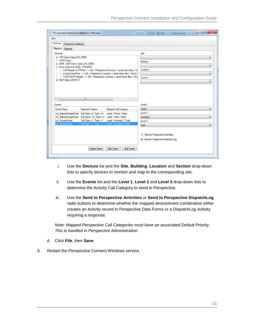| △ Perspective Connect Configuration Manager           |                                                       |                                                                                                                                                   |                                | $\mathbf{x}$<br>$\Box$ e |  |
|-------------------------------------------------------|-------------------------------------------------------|---------------------------------------------------------------------------------------------------------------------------------------------------|--------------------------------|--------------------------|--|
| File                                                  |                                                       |                                                                                                                                                   |                                |                          |  |
| OnGuard<br>Perspective Settings                       |                                                       |                                                                                                                                                   |                                |                          |  |
| Mapping<br>Settings                                   |                                                       |                                                                                                                                                   |                                |                          |  |
| Devices                                               |                                                       |                                                                                                                                                   | Site                           |                          |  |
| E Y2K Demo Case (LNL-1000)                            |                                                       |                                                                                                                                                   |                                |                          |  |
|                                                       | INVR Demo<br>由 2005 - 2007 Demo Case (LNL-2000)       |                                                                                                                                                   |                                |                          |  |
| mi-Demo Case LNL-2220 - PPM2000                       |                                                       |                                                                                                                                                   |                                |                          |  |
|                                                       |                                                       | -3-IE Reader w/PINPad -> QA / Perspective Connect / Lenel Demo Box / D                                                                            | Location                       |                          |  |
|                                                       |                                                       | - 2-Lenel OpenProx --> QA / Perspective Connect / Lenel Demo Box / Dev2 C<br>1-HID OSDP Reader -> QA / Perspective Connect / Lenel Demo Box / Dev |                                |                          |  |
| in NGP Demo 2010TU1                                   |                                                       |                                                                                                                                                   | Section                        |                          |  |
|                                                       |                                                       |                                                                                                                                                   |                                |                          |  |
|                                                       |                                                       |                                                                                                                                                   |                                |                          |  |
|                                                       |                                                       |                                                                                                                                                   |                                |                          |  |
|                                                       |                                                       |                                                                                                                                                   |                                |                          |  |
| $\leftarrow$                                          | m.                                                    | k.                                                                                                                                                |                                |                          |  |
| Events                                                |                                                       |                                                                                                                                                   | Level 1                        |                          |  |
| <b>Event Name</b>                                     | <b>Expected Values</b>                                | <b>Mapped Call Category</b>                                                                                                                       | Lenel                          | ▼                        |  |
| Lnl StatusChangeEvent SubType = 8, Type = 4           |                                                       | Lenel / Force / Open                                                                                                                              | Level 2                        |                          |  |
|                                                       | Lnl_StatusChangeEvent SubType = 10, Type = 4          | Lenel / Held / Open                                                                                                                               | Incorrect                      |                          |  |
| <b>Lnl</b> AccessEvent<br><b>Lnl</b> AccessEvent      | $SubType = 2, Type = 1$<br>SubType = $3$ , Type = $1$ | Lenel / Incorrect / Code<br>Lenel / Incorrect / Card                                                                                              | Level 3                        |                          |  |
|                                                       |                                                       |                                                                                                                                                   | Card                           |                          |  |
|                                                       |                                                       |                                                                                                                                                   |                                |                          |  |
|                                                       |                                                       |                                                                                                                                                   | Send to Perspective Activities |                          |  |
| Send to Perspective DispatchLog                       |                                                       |                                                                                                                                                   |                                |                          |  |
|                                                       |                                                       |                                                                                                                                                   |                                |                          |  |
| <b>Edit Event</b><br><b>Add Event</b><br>Delete Event |                                                       |                                                                                                                                                   |                                |                          |  |
|                                                       |                                                       |                                                                                                                                                   |                                |                          |  |
|                                                       |                                                       |                                                                                                                                                   |                                |                          |  |

- i. Use the **Devices** list and the **Site**, **Building**, **Location** and **Section** drop-down lists to specify devices to monitor and map to the corresponding site.
- ii. Use the **Events** list and the **Level 1**, **Level 2** and **Level 3** drop-down lists to determine the Activity Call Category to send to Perspective.
- iii. Use the **Send to Perspective Activities** or **Send to Perspective DispatchLog** radio buttons to determine whether the mapped device/event combination either creates an Activity record in Perspective Data Forms or a DispatchLog Activity requiring a response.

*Note: Mapped Perspective Call Categories must have an associated Default Priority. This is handled in Perspective Administration.*

- d. Click **File**, then **Save**.
- 5. Restart the Perspective Connect Windows service.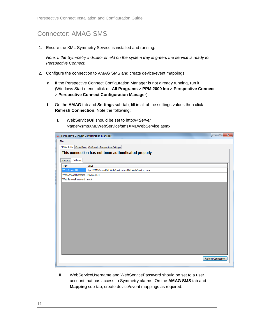# <span id="page-13-0"></span>Connector: AMAG SMS

1. Ensure the XML Symmetry Service is installed and running.

*Note: If the Symmetry indicator shield on the system tray is green, the service is ready for Perspective Connect.*

- 2. Configure the connection to AMAG SMS and create device/event mappings:
	- a. If the Perspective Connect Configuration Manager is not already running, run it (Windows Start menu, click on **All Programs** > **PPM 2000 Inc** > **Perspective Connect** > **Perspective Connect Configuration Manager**).
	- b. On the **AMAG** tab and **Settings** sub-tab, fill in all of the settings values then click **Refresh Connection**. Note the following:
		- I. WebServiceUrl should be set to http://<*Server Name*>/smsXMLWebService/smsXMLWebService.asmx.

|                               | △ Perspective Connect Configuration Manager         | $\mathbf{x}$<br>$\begin{array}{c c c c c} \hline \multicolumn{1}{c }{\textbf{0}} & \multicolumn{1}{c }{\textbf{0}} \\\hline \multicolumn{1}{c }{\textbf{0}} & \multicolumn{1}{c }{\textbf{0}} \end{array}$ |
|-------------------------------|-----------------------------------------------------|------------------------------------------------------------------------------------------------------------------------------------------------------------------------------------------------------------|
| File                          |                                                     |                                                                                                                                                                                                            |
|                               | AMAG SMS Code Blue   OnGuard   Perspective Settings |                                                                                                                                                                                                            |
|                               | This connection has not been authenticated properly |                                                                                                                                                                                                            |
| Settings<br>Mapping           |                                                     |                                                                                                                                                                                                            |
| Key                           | Value                                               |                                                                                                                                                                                                            |
| WebServiceUrl                 | http://AMAG/smsXMLWebService/smsXMLWebService.asmx  |                                                                                                                                                                                                            |
| WebServiceUsemame   INSTALLER |                                                     |                                                                                                                                                                                                            |
| WebServicePassword install    |                                                     |                                                                                                                                                                                                            |
|                               |                                                     |                                                                                                                                                                                                            |
|                               |                                                     |                                                                                                                                                                                                            |
|                               |                                                     |                                                                                                                                                                                                            |
|                               |                                                     |                                                                                                                                                                                                            |
|                               |                                                     |                                                                                                                                                                                                            |
|                               |                                                     |                                                                                                                                                                                                            |
|                               |                                                     |                                                                                                                                                                                                            |
|                               |                                                     |                                                                                                                                                                                                            |
|                               |                                                     |                                                                                                                                                                                                            |
|                               |                                                     |                                                                                                                                                                                                            |
|                               |                                                     |                                                                                                                                                                                                            |
|                               |                                                     |                                                                                                                                                                                                            |
|                               |                                                     |                                                                                                                                                                                                            |
|                               |                                                     | Refresh Connection                                                                                                                                                                                         |
|                               |                                                     |                                                                                                                                                                                                            |
|                               |                                                     |                                                                                                                                                                                                            |

II. WebServiceUsername and WebServicePassword should be set to a user account that has access to Symmetry alarms. On the **AMAG SMS** tab and **Mapping** sub-tab, create device/event mappings as required: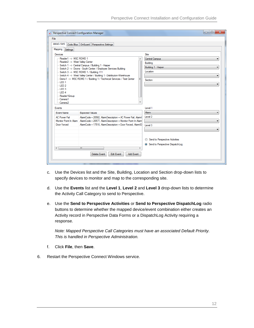| File<br>AMAG SMS   Code Blue   OnGuard   Perspective Settings<br>Mapping Settings<br>Site<br>Devices<br>--- Reader1 -- > MSC RDMD 1<br>Central Campus<br>- Reader2 -> West Valley Center<br>Building<br>- Switch 1 -> Central Campus / Building 1 - Harper<br>Building 1 - Harper<br>Switch 2 -> Doons - South Center / Employee Services Building<br>Location<br>-Switch 3 -> MSC RDMD 1 / Building 111<br>- Switch 4 -> West Valley Center / Building 1 - Distribution-Warehouse<br>Demo1 -> MSC RDMD 1 / Building 1 / Technical Services / Test Center<br>티<br>Section<br>l-LED 1<br>$-$ LED 2<br>$-LED3$<br>$-LED4$<br>Reader1Group<br>Camera 1<br>Camera <sub>2</sub><br>Level 1<br>Events<br>Alam<br><b>Fvent Name</b><br><b>Expected Values</b><br>Level 2<br><b>AC Power Fail</b><br>AlamCode = 20582, AlamDescription = AC Power Fail, AlamI<br>Monitor Point In Alam<br>AlamCode = 20577, AlamDescription = Monitor Point In Alam<br>Door Forced<br>AlamCode = 17510. AlamDescription = Door Forced. AlamID<br>Level 3<br>Send to Perspective Activities<br>⊙<br>Send to Perspective DispatchLog<br>€.<br>m.<br><b>Edit Event</b><br>Delete Event<br><b>Add Event</b> |  | Perspective Connect Configuration Manager |  | $\mathbf{x}$<br>$\Box$<br>$\Box$ |
|---------------------------------------------------------------------------------------------------------------------------------------------------------------------------------------------------------------------------------------------------------------------------------------------------------------------------------------------------------------------------------------------------------------------------------------------------------------------------------------------------------------------------------------------------------------------------------------------------------------------------------------------------------------------------------------------------------------------------------------------------------------------------------------------------------------------------------------------------------------------------------------------------------------------------------------------------------------------------------------------------------------------------------------------------------------------------------------------------------------------------------------------------------------------------------|--|-------------------------------------------|--|----------------------------------|
|                                                                                                                                                                                                                                                                                                                                                                                                                                                                                                                                                                                                                                                                                                                                                                                                                                                                                                                                                                                                                                                                                                                                                                                 |  |                                           |  |                                  |
|                                                                                                                                                                                                                                                                                                                                                                                                                                                                                                                                                                                                                                                                                                                                                                                                                                                                                                                                                                                                                                                                                                                                                                                 |  |                                           |  |                                  |
|                                                                                                                                                                                                                                                                                                                                                                                                                                                                                                                                                                                                                                                                                                                                                                                                                                                                                                                                                                                                                                                                                                                                                                                 |  |                                           |  |                                  |
|                                                                                                                                                                                                                                                                                                                                                                                                                                                                                                                                                                                                                                                                                                                                                                                                                                                                                                                                                                                                                                                                                                                                                                                 |  |                                           |  |                                  |
|                                                                                                                                                                                                                                                                                                                                                                                                                                                                                                                                                                                                                                                                                                                                                                                                                                                                                                                                                                                                                                                                                                                                                                                 |  |                                           |  |                                  |
|                                                                                                                                                                                                                                                                                                                                                                                                                                                                                                                                                                                                                                                                                                                                                                                                                                                                                                                                                                                                                                                                                                                                                                                 |  |                                           |  |                                  |
|                                                                                                                                                                                                                                                                                                                                                                                                                                                                                                                                                                                                                                                                                                                                                                                                                                                                                                                                                                                                                                                                                                                                                                                 |  |                                           |  |                                  |
|                                                                                                                                                                                                                                                                                                                                                                                                                                                                                                                                                                                                                                                                                                                                                                                                                                                                                                                                                                                                                                                                                                                                                                                 |  |                                           |  |                                  |
|                                                                                                                                                                                                                                                                                                                                                                                                                                                                                                                                                                                                                                                                                                                                                                                                                                                                                                                                                                                                                                                                                                                                                                                 |  |                                           |  |                                  |
|                                                                                                                                                                                                                                                                                                                                                                                                                                                                                                                                                                                                                                                                                                                                                                                                                                                                                                                                                                                                                                                                                                                                                                                 |  |                                           |  |                                  |
|                                                                                                                                                                                                                                                                                                                                                                                                                                                                                                                                                                                                                                                                                                                                                                                                                                                                                                                                                                                                                                                                                                                                                                                 |  |                                           |  |                                  |
|                                                                                                                                                                                                                                                                                                                                                                                                                                                                                                                                                                                                                                                                                                                                                                                                                                                                                                                                                                                                                                                                                                                                                                                 |  |                                           |  |                                  |
|                                                                                                                                                                                                                                                                                                                                                                                                                                                                                                                                                                                                                                                                                                                                                                                                                                                                                                                                                                                                                                                                                                                                                                                 |  |                                           |  |                                  |
|                                                                                                                                                                                                                                                                                                                                                                                                                                                                                                                                                                                                                                                                                                                                                                                                                                                                                                                                                                                                                                                                                                                                                                                 |  |                                           |  |                                  |
|                                                                                                                                                                                                                                                                                                                                                                                                                                                                                                                                                                                                                                                                                                                                                                                                                                                                                                                                                                                                                                                                                                                                                                                 |  |                                           |  |                                  |
|                                                                                                                                                                                                                                                                                                                                                                                                                                                                                                                                                                                                                                                                                                                                                                                                                                                                                                                                                                                                                                                                                                                                                                                 |  |                                           |  |                                  |
|                                                                                                                                                                                                                                                                                                                                                                                                                                                                                                                                                                                                                                                                                                                                                                                                                                                                                                                                                                                                                                                                                                                                                                                 |  |                                           |  |                                  |
|                                                                                                                                                                                                                                                                                                                                                                                                                                                                                                                                                                                                                                                                                                                                                                                                                                                                                                                                                                                                                                                                                                                                                                                 |  |                                           |  |                                  |
|                                                                                                                                                                                                                                                                                                                                                                                                                                                                                                                                                                                                                                                                                                                                                                                                                                                                                                                                                                                                                                                                                                                                                                                 |  |                                           |  |                                  |
|                                                                                                                                                                                                                                                                                                                                                                                                                                                                                                                                                                                                                                                                                                                                                                                                                                                                                                                                                                                                                                                                                                                                                                                 |  |                                           |  |                                  |
|                                                                                                                                                                                                                                                                                                                                                                                                                                                                                                                                                                                                                                                                                                                                                                                                                                                                                                                                                                                                                                                                                                                                                                                 |  |                                           |  |                                  |
|                                                                                                                                                                                                                                                                                                                                                                                                                                                                                                                                                                                                                                                                                                                                                                                                                                                                                                                                                                                                                                                                                                                                                                                 |  |                                           |  |                                  |
|                                                                                                                                                                                                                                                                                                                                                                                                                                                                                                                                                                                                                                                                                                                                                                                                                                                                                                                                                                                                                                                                                                                                                                                 |  |                                           |  |                                  |
|                                                                                                                                                                                                                                                                                                                                                                                                                                                                                                                                                                                                                                                                                                                                                                                                                                                                                                                                                                                                                                                                                                                                                                                 |  |                                           |  |                                  |
|                                                                                                                                                                                                                                                                                                                                                                                                                                                                                                                                                                                                                                                                                                                                                                                                                                                                                                                                                                                                                                                                                                                                                                                 |  |                                           |  |                                  |
|                                                                                                                                                                                                                                                                                                                                                                                                                                                                                                                                                                                                                                                                                                                                                                                                                                                                                                                                                                                                                                                                                                                                                                                 |  |                                           |  |                                  |
|                                                                                                                                                                                                                                                                                                                                                                                                                                                                                                                                                                                                                                                                                                                                                                                                                                                                                                                                                                                                                                                                                                                                                                                 |  |                                           |  |                                  |
|                                                                                                                                                                                                                                                                                                                                                                                                                                                                                                                                                                                                                                                                                                                                                                                                                                                                                                                                                                                                                                                                                                                                                                                 |  |                                           |  |                                  |
|                                                                                                                                                                                                                                                                                                                                                                                                                                                                                                                                                                                                                                                                                                                                                                                                                                                                                                                                                                                                                                                                                                                                                                                 |  |                                           |  |                                  |

- c. Use the Devices list and the Site, Building, Location and Section drop-down lists to specify devices to monitor and map to the corresponding site.
- d. Use the **Events** list and the **Level 1**, **Level 2** and **Level 3** drop-down lists to determine the Activity Call Category to send to Perspective.
- e. Use the **Send to Perspective Activities** or **Send to Perspective DispatchLog** radio buttons to determine whether the mapped device/event combination either creates an Activity record in Perspective Data Forms or a DispatchLog Activity requiring a response.

*Note: Mapped Perspective Call Categories must have an associated Default Priority. This is handled in Perspective Administration.*

- f. Click **File**, then **Save**.
- 6. Restart the Perspective Connect Windows service.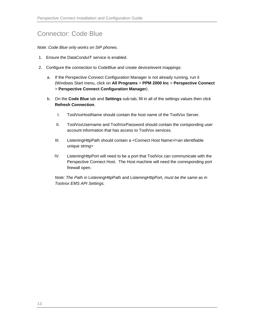## <span id="page-15-0"></span>Connector: Code Blue

*Note: Code Blue only works on SIP phones.*

- 1. Ensure the DataConduIT service is enabled.
- 2. Configure the connection to CodeBlue and create device/event mappings:
	- a. If the Perspective Connect Configuration Manager is not already running, run it (Windows Start menu, click on **All Programs** > **PPM 2000 Inc** > **Perspective Connect** > **Perspective Connect Configuration Manager**).
	- b. On the **Code Blue** tab and **Settings** sub-tab, fill in all of the settings values then click **Refresh Connection**.
		- I. ToolVoxHostName should contain the host name of the ToolVox Server.
		- II. ToolVoxUsername and ToolVoxPassword should contain the corisponding user account information that has access to ToolVox services.
		- III. ListeningHttpPath should contain a <Connect Host Name>/<an identifiable unique string>
		- IV. ListeningHttpPort will need to be a port that ToolVox can communicate with the Perspective Connect Host. The Host machine will need the corresponding port firewall open.

*Note: The Path in* ListeningHttpPath and ListeningHttpPort, *must be the same as in Toolvox EMS API Settings.*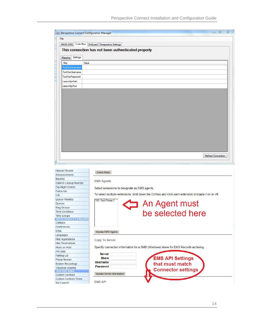| △ Perspective Connect Configuration Manager |                                                     | $\Sigma\!$<br>$\Box$<br>$\qquad \qquad \Box$ |
|---------------------------------------------|-----------------------------------------------------|----------------------------------------------|
| File                                        |                                                     |                                              |
|                                             | AMAG SMS Code Blue OnGuard Perspective Settings     |                                              |
|                                             | This connection has not been authenticated properly |                                              |
| Settings<br>Mapping                         |                                                     |                                              |
| Value<br>Key                                |                                                     |                                              |
| <b>ToolVoxHostname</b>                      |                                                     |                                              |
| ToolVoxUsemame                              |                                                     |                                              |
| <b>ToolVoxPassword</b>                      |                                                     |                                              |
| ListenHttpPath                              |                                                     |                                              |
| ListenHttpPort                              |                                                     |                                              |
|                                             |                                                     |                                              |
|                                             |                                                     |                                              |
|                                             |                                                     |                                              |
|                                             |                                                     |                                              |
|                                             |                                                     |                                              |
|                                             |                                                     |                                              |
|                                             |                                                     |                                              |
|                                             |                                                     |                                              |
|                                             |                                                     |                                              |
|                                             |                                                     |                                              |
|                                             |                                                     |                                              |
|                                             |                                                     |                                              |
|                                             |                                                     |                                              |
|                                             |                                                     | Refresh Connection                           |
|                                             |                                                     |                                              |
|                                             |                                                     |                                              |
|                                             |                                                     |                                              |
| nbound Routes                               | Delete Maps                                         |                                              |
| Announcements<br><b>Blacklist</b>           |                                                     |                                              |
| CollectD Lookup Courses                     | <b>EMS Agents</b>                                   |                                              |

| Announcements                  |
|--------------------------------|
| <b>Blacklist</b>               |
| CallerID Lookup Sources        |
| Day/Night Control              |
| Follow Me                      |
| <b>VR</b>                      |
| Queue Priorities               |
| Queues                         |
| <b>Ring Groups</b>             |
| <b>Time Conditions</b>         |
| <b>Time Groups</b>             |
| Internal Options & Configurati |
| Callback                       |
| Conferences                    |
| DISA                           |
| anguages                       |
| <b>Misc Applications</b>       |
| <b>Misc Destinations</b>       |
| Music on Hold                  |
| PIN Sets                       |
| Parking Lot                    |
| Phone Restart                  |
| <b>System Recordings</b>       |
| VoiceMail Blasting             |
| <b>Third Party Addon</b>       |
| Custom Contexts                |
| <b>Custom Contexts Times</b>   |
| Set CallerID                   |

| 100: Test Phone 1        | An Agent must<br>be selected here                                                   |
|--------------------------|-------------------------------------------------------------------------------------|
| <b>Update EMS Agents</b> |                                                                                     |
| Copy To Server           |                                                                                     |
|                          | Specify connection information for a SMB (Windows) share for EMS Records archiving. |
| Server<br>Share          |                                                                                     |
| Username                 | <b>EMS API Settings</b>                                                             |
| Password                 | that must match<br><b>Connector settings</b>                                        |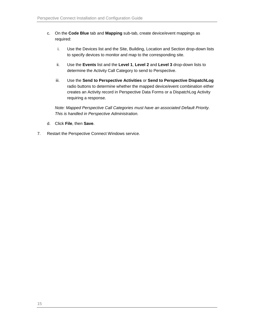- c. On the **Code Blue** tab and **Mapping** sub-tab, create device/event mappings as required:
	- i. Use the Devices list and the Site, Building, Location and Section drop-down lists to specify devices to monitor and map to the corresponding site.
	- ii. Use the **Events** list and the **Level 1**, **Level 2** and **Level 3** drop-down lists to determine the Activity Call Category to send to Perspective.
	- iii. Use the **Send to Perspective Activities** or **Send to Perspective DispatchLog** radio buttons to determine whether the mapped device/event combination either creates an Activity record in Perspective Data Forms or a DispatchLog Activity requiring a response.

*Note: Mapped Perspective Call Categories must have an associated Default Priority. This is handled in Perspective Administration.*

- d. Click **File**, then **Save**.
- 7. Restart the Perspective Connect Windows service.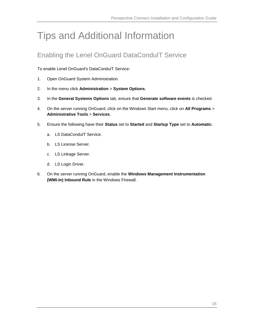# <span id="page-18-0"></span>Tips and Additional Information

# <span id="page-18-1"></span>Enabling the Lenel OnGuard DataConduIT Service

To enable Lenel OnGuard's DataConduIT Service:

- 1. Open OnGuard System Administration.
- 2. In the menu click **Administration** > **System Options**.
- 3. In the **General Systems Options** tab, ensure that **Generate software events** is checked.
- 4. On the server running OnGuard, click on the Windows Start menu, click on **All Programs** > **Administrative Tools** > **Services**.
- 5. Ensure the following have their **Status** set to **Started** and **Startup Type** set to **Automatic**:
	- a. LS DataConduIT Service.
	- b. LS License Server.
	- c. LS Linkage Server.
	- d. LS Login Driver.
- 6. On the server running OnGuard, enable the **Windows Management Instrumentation (WMI-In) Inbound Rule** in the Windows Firewall.